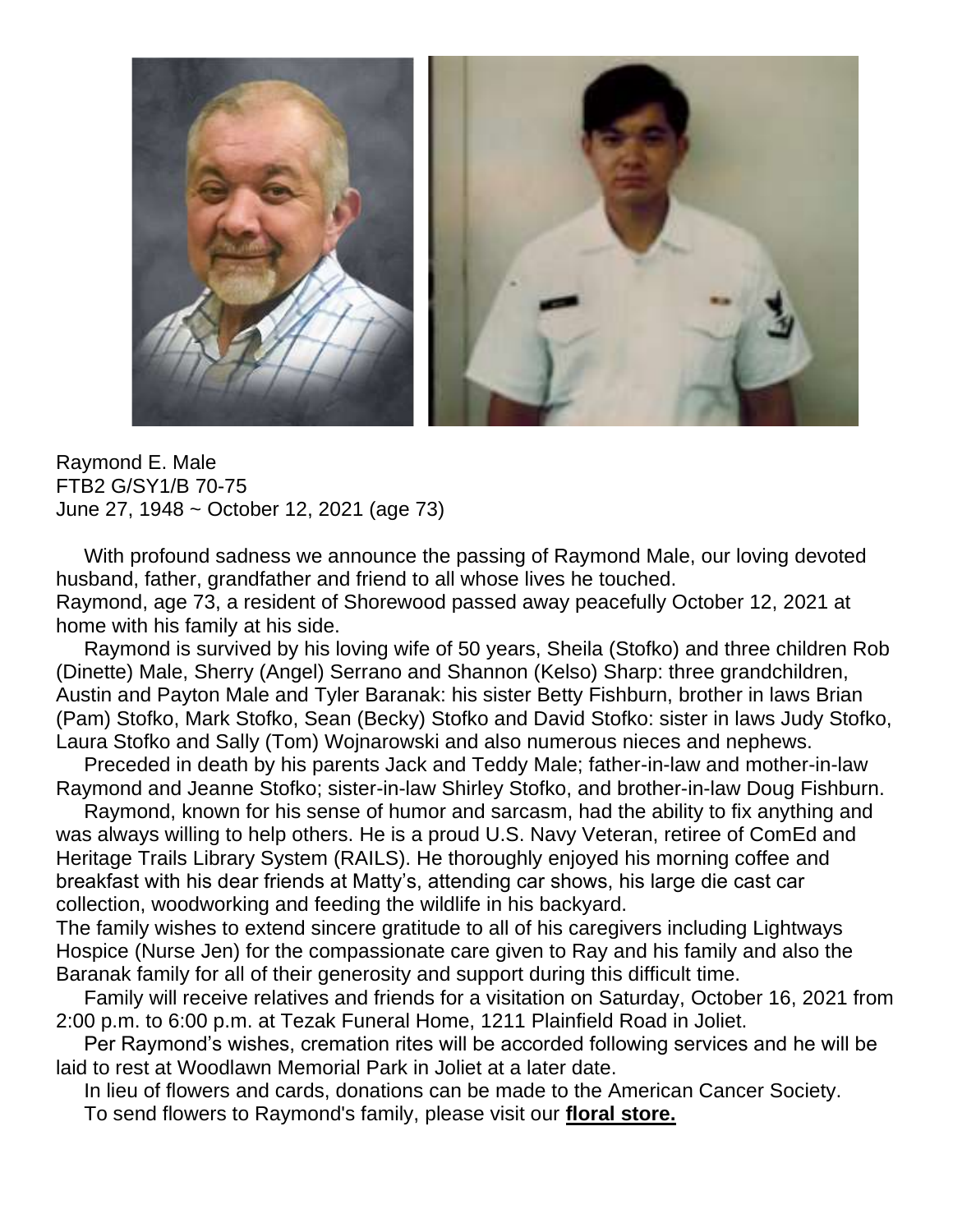

Raymond E. Male FTB2 G/SY1/B 70-75 June 27, 1948 ~ October 12, 2021 (age 73)

 With profound sadness we announce the passing of Raymond Male, our loving devoted husband, father, grandfather and friend to all whose lives he touched. Raymond, age 73, a resident of Shorewood passed away peacefully October 12, 2021 at home with his family at his side.

 Raymond is survived by his loving wife of 50 years, Sheila (Stofko) and three children Rob (Dinette) Male, Sherry (Angel) Serrano and Shannon (Kelso) Sharp: three grandchildren, Austin and Payton Male and Tyler Baranak: his sister Betty Fishburn, brother in laws Brian (Pam) Stofko, Mark Stofko, Sean (Becky) Stofko and David Stofko: sister in laws Judy Stofko, Laura Stofko and Sally (Tom) Wojnarowski and also numerous nieces and nephews.

 Preceded in death by his parents Jack and Teddy Male; father-in-law and mother-in-law Raymond and Jeanne Stofko; sister-in-law Shirley Stofko, and brother-in-law Doug Fishburn.

 Raymond, known for his sense of humor and sarcasm, had the ability to fix anything and was always willing to help others. He is a proud U.S. Navy Veteran, retiree of ComEd and Heritage Trails Library System (RAILS). He thoroughly enjoyed his morning coffee and breakfast with his dear friends at Matty's, attending car shows, his large die cast car collection, woodworking and feeding the wildlife in his backyard.

The family wishes to extend sincere gratitude to all of his caregivers including Lightways Hospice (Nurse Jen) for the compassionate care given to Ray and his family and also the Baranak family for all of their generosity and support during this difficult time.

 Family will receive relatives and friends for a visitation on Saturday, October 16, 2021 from 2:00 p.m. to 6:00 p.m. at Tezak Funeral Home, 1211 Plainfield Road in Joliet.

 Per Raymond's wishes, cremation rites will be accorded following services and he will be laid to rest at Woodlawn Memorial Park in Joliet at a later date.

In lieu of flowers and cards, donations can be made to the American Cancer Society.

To send flowers to Raymond's family, please visit our **[floral store.](https://www.tezakfuneralhome.com/obituary/Raymond-Male/sympathy)**